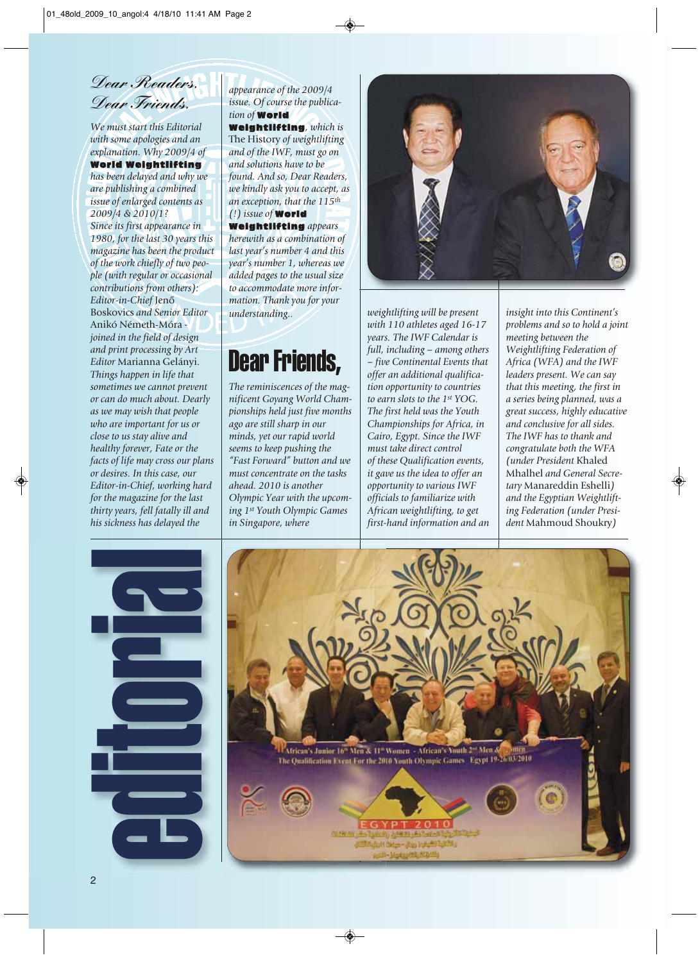Dear Readers, Dear Friends

*We must start this Editorial with some apologies and an explanation. Why 2009/4 of*

## World Weightlifting

*has been delayed and why we are publishing a combined issue of enlarged contents as 2009/4 & 2010/1? Since its first appearance in 1980, for the last 30 years this magazine has been the product of the work chiefly of two people (with regular or occasional contributions from others): Editor-in-Chief* Jenô Boskovics *and Senior Editor* Anikó Németh-Móra  *joined in the field of design and print processing by Art Editor* Marianna Gelányi. *Things happen in life that sometimes we cannot prevent or can do much about. Dearly as we may wish that people who are important for us or close to us stay alive and healthy forever, Fate or the facts of life may cross our plans or desires. In this case, our Editor-in-Chief, working hard for the magazine for the last thirty years, fell fatally ill and his sickness has delayed the*

*appearance of the 2009/4 issue. Of course the publication of* World

Weightlifting*, which is* The History *of weightlifting and of the IWF, must go on and solutions have to be found. And so, Dear Readers, we kindly ask you to accept, as an exception, that the 115th (!) issue of* World

Weightlifting *appears herewith as a combination of last year's number 4 and this year's number 1, whereas we added pages to the usual size to accommodate more information. Thank you for your understanding..*

## Dear Friends,

*The reminiscences of the magnificent Goyang World Championships held just five months ago are still sharp in our minds, yet our rapid world seems to keep pushing the "Fast Forward" button and we must concentrate on the tasks ahead. 2010 is another Olympic Year with the upcoming 1st Youth Olympic Games in Singapore, where*



*weightlifting will be present with 110 athletes aged 16-17 years. The IWF Calendar is full, including – among others – five Continental Events that offer an additional qualification opportunity to countries to earn slots to the 1st YOG. The first held was the Youth Championships for Africa, in Cairo, Egypt. Since the IWF must take direct control of these Qualification events, it gave us the idea to offer an opportunity to various IWF officials to familiarize with African weightlifting, to get first-hand information and an*

*insight into this Continent's problems and so to hold a joint meeting between the Weightlifting Federation of Africa (WFA) and the IWF leaders present. We can say that this meeting, the first in a series being planned, was a great success, highly educative and conclusive for all sides. The IWF has to thank and congratulate both the WFA (under President* Khaled Mhalhel *and General Secretary* Manareddin Eshelli*) and the Egyptian Weightlifting Federation (under President* Mahmoud Shoukry*)*